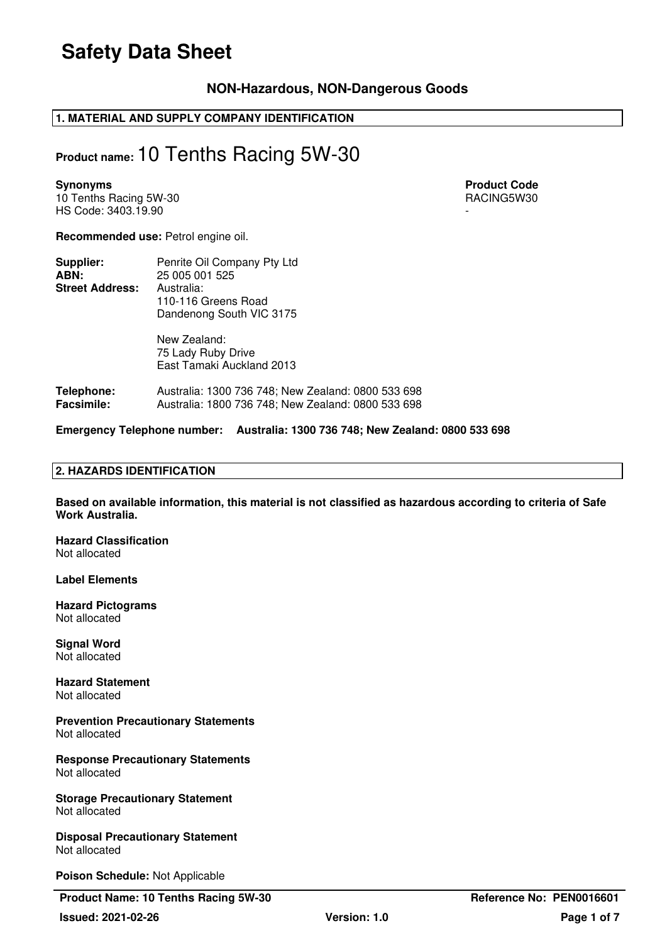### **NON-Hazardous, NON-Dangerous Goods**

### **1. MATERIAL AND SUPPLY COMPANY IDENTIFICATION**

### **Product name:** 10 Tenths Racing 5W-30

10 Tenths Racing 5W-30 **RACING5W30** RACING5W30 HS Code: 3403.19.90

**Synonyms** Product Code **Product Code Product Code Product Code** 

**Recommended use:** Petrol engine oil.

| Supplier:              | Penrite Oil Company Pty Ltd |
|------------------------|-----------------------------|
| ABN:                   | 25 005 001 525              |
| <b>Street Address:</b> | Australia:                  |
|                        | 110-116 Greens Road         |
|                        | Dandenong South VIC 3175    |

New Zealand: 75 Lady Ruby Drive East Tamaki Auckland 2013

**Telephone:** Australia: 1300 736 748; New Zealand: 0800 533 698 **Facsimile:** Australia: 1800 736 748; New Zealand: 0800 533 698

**Emergency Telephone number: Australia: 1300 736 748; New Zealand: 0800 533 698**

### **2. HAZARDS IDENTIFICATION**

**Based on available information, this material is not classified as hazardous according to criteria of Safe Work Australia.** 

**Hazard Classification**  Not allocated

**Label Elements** 

**Hazard Pictograms**  Not allocated

**Signal Word**  Not allocated

**Hazard Statement**  Not allocated

**Prevention Precautionary Statements**  Not allocated

**Response Precautionary Statements**  Not allocated

**Storage Precautionary Statement**  Not allocated

**Disposal Precautionary Statement**  Not allocated

**Poison Schedule:** Not Applicable

**Product Name: 10 Tenths Racing 5W-30 Reference No: PEN0016601**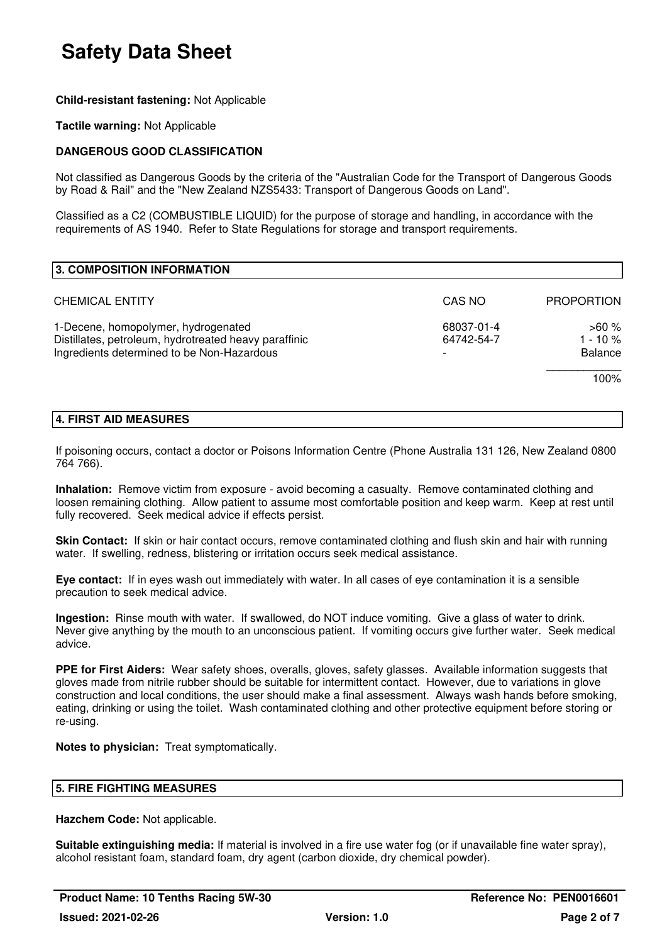### **Child-resistant fastening:** Not Applicable

### **Tactile warning:** Not Applicable

### **DANGEROUS GOOD CLASSIFICATION**

Not classified as Dangerous Goods by the criteria of the "Australian Code for the Transport of Dangerous Goods by Road & Rail" and the "New Zealand NZS5433: Transport of Dangerous Goods on Land".

Classified as a C2 (COMBUSTIBLE LIQUID) for the purpose of storage and handling, in accordance with the requirements of AS 1940. Refer to State Regulations for storage and transport requirements.

| 3. COMPOSITION INFORMATION                                                                                                                 |                          |                                        |
|--------------------------------------------------------------------------------------------------------------------------------------------|--------------------------|----------------------------------------|
| <b>CHEMICAL ENTITY</b>                                                                                                                     | CAS NO                   | <b>PROPORTION</b>                      |
| 1-Decene, homopolymer, hydrogenated<br>Distillates, petroleum, hydrotreated heavy paraffinic<br>Ingredients determined to be Non-Hazardous | 68037-01-4<br>64742-54-7 | >60 %<br>$1 - 10 \%$<br><b>Balance</b> |
|                                                                                                                                            |                          | 100%                                   |

### **4. FIRST AID MEASURES**

If poisoning occurs, contact a doctor or Poisons Information Centre (Phone Australia 131 126, New Zealand 0800 764 766).

**Inhalation:** Remove victim from exposure - avoid becoming a casualty. Remove contaminated clothing and loosen remaining clothing. Allow patient to assume most comfortable position and keep warm. Keep at rest until fully recovered. Seek medical advice if effects persist.

**Skin Contact:** If skin or hair contact occurs, remove contaminated clothing and flush skin and hair with running water. If swelling, redness, blistering or irritation occurs seek medical assistance.

**Eye contact:** If in eyes wash out immediately with water. In all cases of eye contamination it is a sensible precaution to seek medical advice.

**Ingestion:** Rinse mouth with water. If swallowed, do NOT induce vomiting. Give a glass of water to drink. Never give anything by the mouth to an unconscious patient. If vomiting occurs give further water. Seek medical advice.

**PPE for First Aiders:** Wear safety shoes, overalls, gloves, safety glasses. Available information suggests that gloves made from nitrile rubber should be suitable for intermittent contact. However, due to variations in glove construction and local conditions, the user should make a final assessment. Always wash hands before smoking, eating, drinking or using the toilet. Wash contaminated clothing and other protective equipment before storing or re-using.

**Notes to physician:** Treat symptomatically.

### **5. FIRE FIGHTING MEASURES**

**Hazchem Code:** Not applicable.

**Suitable extinguishing media:** If material is involved in a fire use water fog (or if unavailable fine water spray), alcohol resistant foam, standard foam, dry agent (carbon dioxide, dry chemical powder).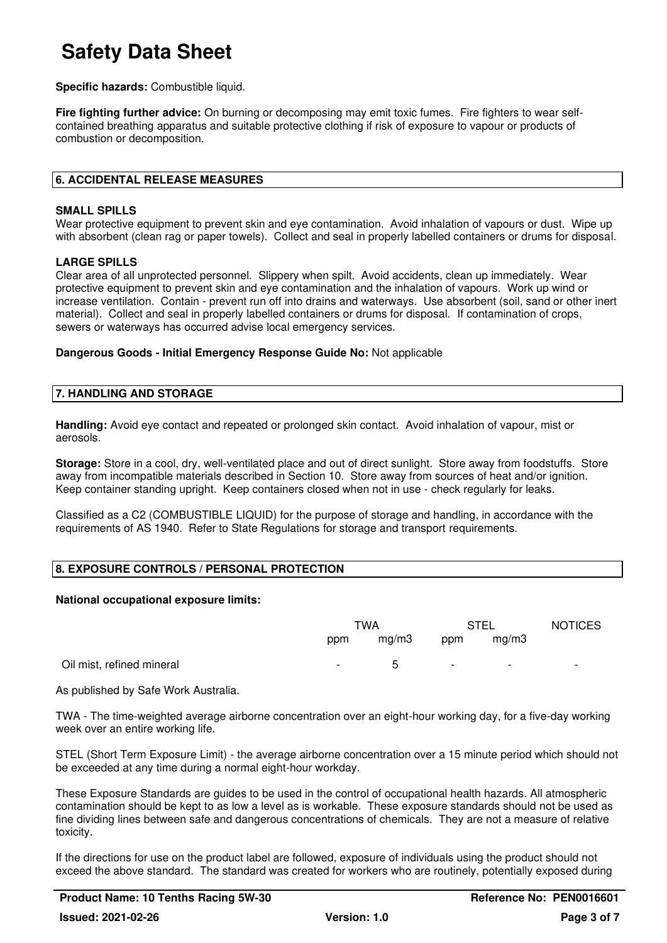**Specific hazards:** Combustible liquid.

**Fire fighting further advice:** On burning or decomposing may emit toxic fumes. Fire fighters to wear selfcontained breathing apparatus and suitable protective clothing if risk of exposure to vapour or products of combustion or decomposition.

### **6. ACCIDENTAL RELEASE MEASURES**

### **SMALL SPILLS**

Wear protective equipment to prevent skin and eye contamination. Avoid inhalation of vapours or dust. Wipe up with absorbent (clean rag or paper towels). Collect and seal in properly labelled containers or drums for disposal.

### **LARGE SPILLS**

Clear area of all unprotected personnel. Slippery when spilt. Avoid accidents, clean up immediately. Wear protective equipment to prevent skin and eye contamination and the inhalation of vapours. Work up wind or increase ventilation. Contain - prevent run off into drains and waterways. Use absorbent (soil, sand or other inert material). Collect and seal in properly labelled containers or drums for disposal. If contamination of crops, sewers or waterways has occurred advise local emergency services.

#### **Dangerous Goods - Initial Emergency Response Guide No:** Not applicable

#### **7. HANDLING AND STORAGE**

**Handling:** Avoid eye contact and repeated or prolonged skin contact. Avoid inhalation of vapour, mist or aerosols.

**Storage:** Store in a cool, dry, well-ventilated place and out of direct sunlight. Store away from foodstuffs. Store away from incompatible materials described in Section 10. Store away from sources of heat and/or ignition. Keep container standing upright. Keep containers closed when not in use - check regularly for leaks.

Classified as a C2 (COMBUSTIBLE LIQUID) for the purpose of storage and handling, in accordance with the requirements of AS 1940. Refer to State Regulations for storage and transport requirements.

### **8. EXPOSURE CONTROLS / PERSONAL PROTECTION**

#### **National occupational exposure limits:**

|                           | TWA    |              | STEL   |                          | <b>NOTICES</b>           |
|---------------------------|--------|--------------|--------|--------------------------|--------------------------|
|                           | ppm    | mg/m3        | ppm    | mg/m3                    |                          |
| Oil mist, refined mineral | $\sim$ | $\mathbf{h}$ | $\sim$ | $\overline{\phantom{0}}$ | $\overline{\phantom{0}}$ |

As published by Safe Work Australia.

TWA - The time-weighted average airborne concentration over an eight-hour working day, for a five-day working week over an entire working life.

STEL (Short Term Exposure Limit) - the average airborne concentration over a 15 minute period which should not be exceeded at any time during a normal eight-hour workday.

These Exposure Standards are guides to be used in the control of occupational health hazards. All atmospheric contamination should be kept to as low a level as is workable. These exposure standards should not be used as fine dividing lines between safe and dangerous concentrations of chemicals. They are not a measure of relative toxicity.

If the directions for use on the product label are followed, exposure of individuals using the product should not exceed the above standard. The standard was created for workers who are routinely, potentially exposed during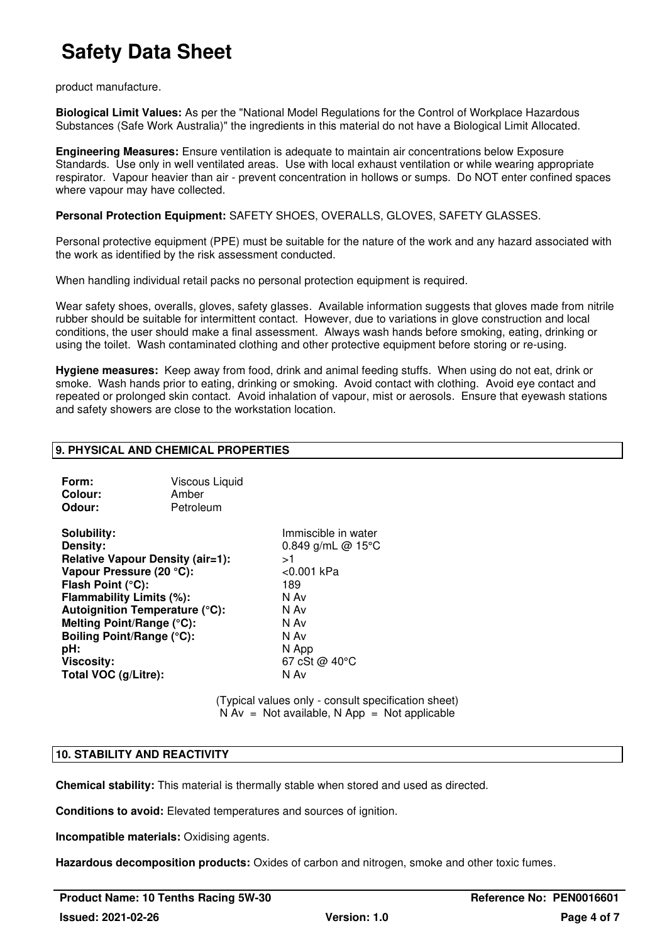product manufacture.

**Biological Limit Values:** As per the "National Model Regulations for the Control of Workplace Hazardous Substances (Safe Work Australia)" the ingredients in this material do not have a Biological Limit Allocated.

**Engineering Measures:** Ensure ventilation is adequate to maintain air concentrations below Exposure Standards. Use only in well ventilated areas. Use with local exhaust ventilation or while wearing appropriate respirator. Vapour heavier than air - prevent concentration in hollows or sumps. Do NOT enter confined spaces where vapour may have collected.

**Personal Protection Equipment:** SAFETY SHOES, OVERALLS, GLOVES, SAFETY GLASSES.

Personal protective equipment (PPE) must be suitable for the nature of the work and any hazard associated with the work as identified by the risk assessment conducted.

When handling individual retail packs no personal protection equipment is required.

Wear safety shoes, overalls, gloves, safety glasses. Available information suggests that gloves made from nitrile rubber should be suitable for intermittent contact. However, due to variations in glove construction and local conditions, the user should make a final assessment. Always wash hands before smoking, eating, drinking or using the toilet. Wash contaminated clothing and other protective equipment before storing or re-using.

**Hygiene measures:** Keep away from food, drink and animal feeding stuffs. When using do not eat, drink or smoke. Wash hands prior to eating, drinking or smoking. Avoid contact with clothing. Avoid eye contact and repeated or prolonged skin contact. Avoid inhalation of vapour, mist or aerosols. Ensure that eyewash stations and safety showers are close to the workstation location.

### **9. PHYSICAL AND CHEMICAL PROPERTIES**

| Form:                                   | Viscous Liquid |              |  |
|-----------------------------------------|----------------|--------------|--|
| Colour:                                 | Amber          |              |  |
| Odour:                                  | Petroleum      |              |  |
| Solubility:                             |                | Immiscible i |  |
| Density:                                |                | $0.849$ g/mL |  |
| <b>Relative Vapour Density (air=1):</b> | ر<             |              |  |
| Vapour Pressure (20 °C):                | <0.001 kPa     |              |  |
| Flash Point (°C):                       | 189            |              |  |
| Flammability Limits (%):                | N Av           |              |  |
| Autoignition Temperature (°C):          | N Av           |              |  |

**Solute in water Density:** 0.849 g/mL @ 15°C **Melting Point/Range (°C):** N Av **Boiling Point/Range (°C):** N Av<br> **pH:** N Ap **pH:** N App **Viscosity:** 67 cSt @ 40°C **Total VOC (g/Litre):** N Av

> (Typical values only - consult specification sheet)  $N Av = Not available, N App = Not applicable$

### **10. STABILITY AND REACTIVITY**

**Chemical stability:** This material is thermally stable when stored and used as directed.

**Conditions to avoid:** Elevated temperatures and sources of ignition.

**Incompatible materials:** Oxidising agents.

**Hazardous decomposition products:** Oxides of carbon and nitrogen, smoke and other toxic fumes.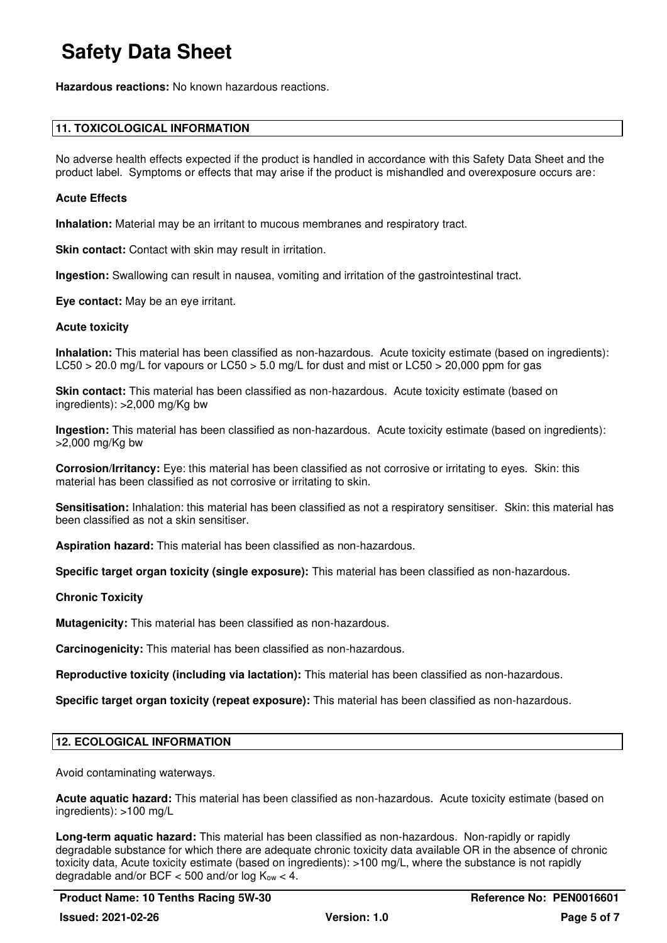**Hazardous reactions:** No known hazardous reactions.

### **11. TOXICOLOGICAL INFORMATION**

No adverse health effects expected if the product is handled in accordance with this Safety Data Sheet and the product label. Symptoms or effects that may arise if the product is mishandled and overexposure occurs are:

### **Acute Effects**

**Inhalation:** Material may be an irritant to mucous membranes and respiratory tract.

**Skin contact:** Contact with skin may result in irritation.

**Ingestion:** Swallowing can result in nausea, vomiting and irritation of the gastrointestinal tract.

**Eye contact:** May be an eye irritant.

### **Acute toxicity**

**Inhalation:** This material has been classified as non-hazardous. Acute toxicity estimate (based on ingredients): LC50 > 20.0 mg/L for vapours or LC50 > 5.0 mg/L for dust and mist or LC50 > 20,000 ppm for gas

**Skin contact:** This material has been classified as non-hazardous. Acute toxicity estimate (based on ingredients): >2,000 mg/Kg bw

**Ingestion:** This material has been classified as non-hazardous. Acute toxicity estimate (based on ingredients): >2,000 mg/Kg bw

**Corrosion/Irritancy:** Eye: this material has been classified as not corrosive or irritating to eyes. Skin: this material has been classified as not corrosive or irritating to skin.

**Sensitisation:** Inhalation: this material has been classified as not a respiratory sensitiser. Skin: this material has been classified as not a skin sensitiser.

**Aspiration hazard:** This material has been classified as non-hazardous.

**Specific target organ toxicity (single exposure):** This material has been classified as non-hazardous.

### **Chronic Toxicity**

**Mutagenicity:** This material has been classified as non-hazardous.

**Carcinogenicity:** This material has been classified as non-hazardous.

**Reproductive toxicity (including via lactation):** This material has been classified as non-hazardous.

**Specific target organ toxicity (repeat exposure):** This material has been classified as non-hazardous.

### **12. ECOLOGICAL INFORMATION**

Avoid contaminating waterways.

**Acute aquatic hazard:** This material has been classified as non-hazardous. Acute toxicity estimate (based on ingredients): >100 mg/L

**Long-term aquatic hazard:** This material has been classified as non-hazardous. Non-rapidly or rapidly degradable substance for which there are adequate chronic toxicity data available OR in the absence of chronic toxicity data, Acute toxicity estimate (based on ingredients): >100 mg/L, where the substance is not rapidly degradable and/or BCF  $<$  500 and/or log K<sub>ow</sub>  $<$  4.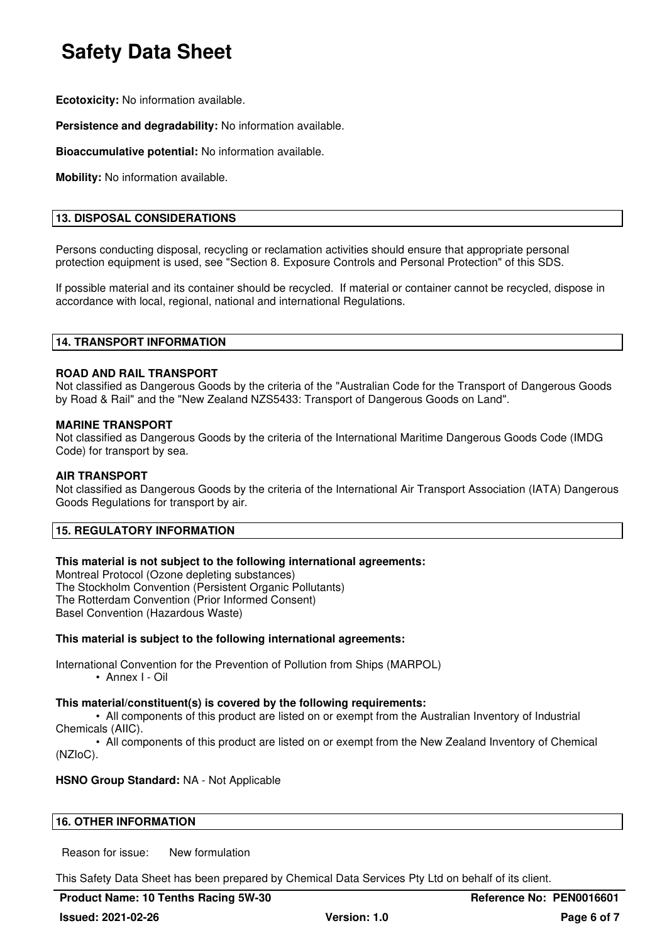**Ecotoxicity:** No information available.

**Persistence and degradability:** No information available.

**Bioaccumulative potential:** No information available.

**Mobility:** No information available.

### **13. DISPOSAL CONSIDERATIONS**

Persons conducting disposal, recycling or reclamation activities should ensure that appropriate personal protection equipment is used, see "Section 8. Exposure Controls and Personal Protection" of this SDS.

If possible material and its container should be recycled. If material or container cannot be recycled, dispose in accordance with local, regional, national and international Regulations.

### **14. TRANSPORT INFORMATION**

### **ROAD AND RAIL TRANSPORT**

Not classified as Dangerous Goods by the criteria of the "Australian Code for the Transport of Dangerous Goods by Road & Rail" and the "New Zealand NZS5433: Transport of Dangerous Goods on Land".

### **MARINE TRANSPORT**

Not classified as Dangerous Goods by the criteria of the International Maritime Dangerous Goods Code (IMDG Code) for transport by sea.

### **AIR TRANSPORT**

Not classified as Dangerous Goods by the criteria of the International Air Transport Association (IATA) Dangerous Goods Regulations for transport by air.

### **15. REGULATORY INFORMATION**

### **This material is not subject to the following international agreements:**

Montreal Protocol (Ozone depleting substances) The Stockholm Convention (Persistent Organic Pollutants) The Rotterdam Convention (Prior Informed Consent) Basel Convention (Hazardous Waste)

### **This material is subject to the following international agreements:**

International Convention for the Prevention of Pollution from Ships (MARPOL)

• Annex I - Oil

### **This material/constituent(s) is covered by the following requirements:**

• All components of this product are listed on or exempt from the Australian Inventory of Industrial Chemicals (AIIC).

• All components of this product are listed on or exempt from the New Zealand Inventory of Chemical (NZIoC).

### **HSNO Group Standard:** NA - Not Applicable

### **16. OTHER INFORMATION**

Reason for issue: New formulation

This Safety Data Sheet has been prepared by Chemical Data Services Pty Ltd on behalf of its client.